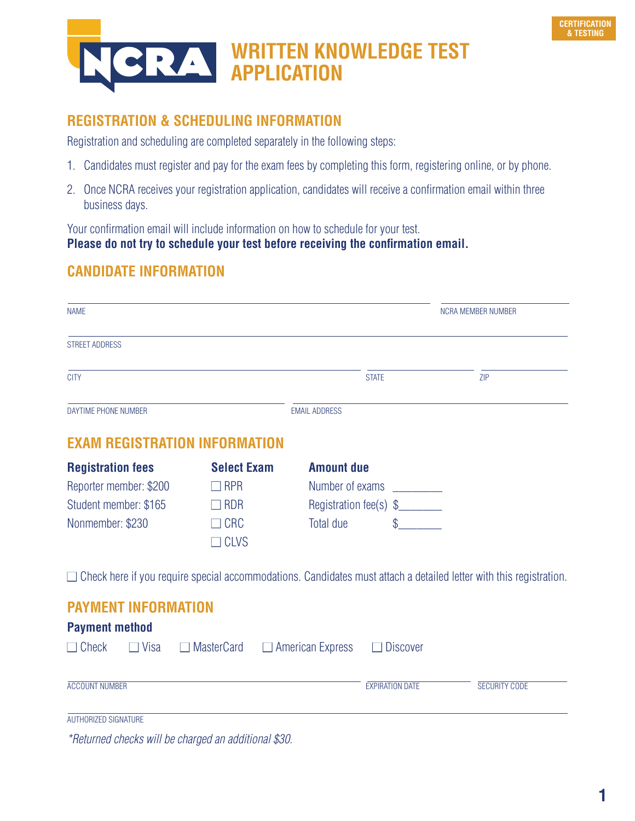

# **WRITTEN KNOWLEDGE TEST APPLICATION**

## **REGISTRATION & SCHEDULING INFORMATION**

Registration and scheduling are completed separately in the following steps:

- 1. Candidates must register and pay for the exam fees by completing this form, registering online, or by phone.
- 2. Once NCRA receives your registration application, candidates will receive a confirmation email within three business days.

Your confirmation email will include information on how to schedule for your test. **Please do not try to schedule your test before receiving the confirmation email.** 

## **CANDIDATE INFORMATION**

| <b>NAME</b>                                                                                     |                                                                             |                                                                             | NCRA MEMBER NUMBER                                                                                                        |  |
|-------------------------------------------------------------------------------------------------|-----------------------------------------------------------------------------|-----------------------------------------------------------------------------|---------------------------------------------------------------------------------------------------------------------------|--|
| <b>STREET ADDRESS</b>                                                                           |                                                                             |                                                                             |                                                                                                                           |  |
| <b>CITY</b>                                                                                     |                                                                             | <b>STATE</b>                                                                | ZIP                                                                                                                       |  |
| DAYTIME PHONE NUMBER                                                                            |                                                                             | <b>EMAIL ADDRESS</b>                                                        |                                                                                                                           |  |
| <b>EXAM REGISTRATION INFORMATION</b>                                                            |                                                                             |                                                                             |                                                                                                                           |  |
| <b>Registration fees</b><br>Reporter member: \$200<br>Student member: \$165<br>Nonmember: \$230 | <b>Select Exam</b><br>$\Box$ RPR<br>$\Box$ RDR<br>$\Box$ CRC<br>$\Box$ CLVS | <b>Amount due</b><br>Number of exams<br>Registration fee(s) \$<br>Total due | $\Box$ Check here if you require special accommodations. Candidates must attach a detailed letter with this registration. |  |
| <b>PAYMENT INFORMATION</b><br><b>Payment method</b><br>$\Box$ Check<br>$\Box$ Visa<br>$\Box$    | <b>MasterCard</b>                                                           | $\Box$ American Express<br><b>Discover</b>                                  |                                                                                                                           |  |
| <b>ACCOUNT NUMBER</b>                                                                           |                                                                             | <b>EXPIRATION DATE</b>                                                      | <b>SECURITY CODE</b>                                                                                                      |  |
| <b>AUTHORIZED SIGNATURE</b>                                                                     |                                                                             |                                                                             |                                                                                                                           |  |

\*Returned checks will be charged an additional \$30.